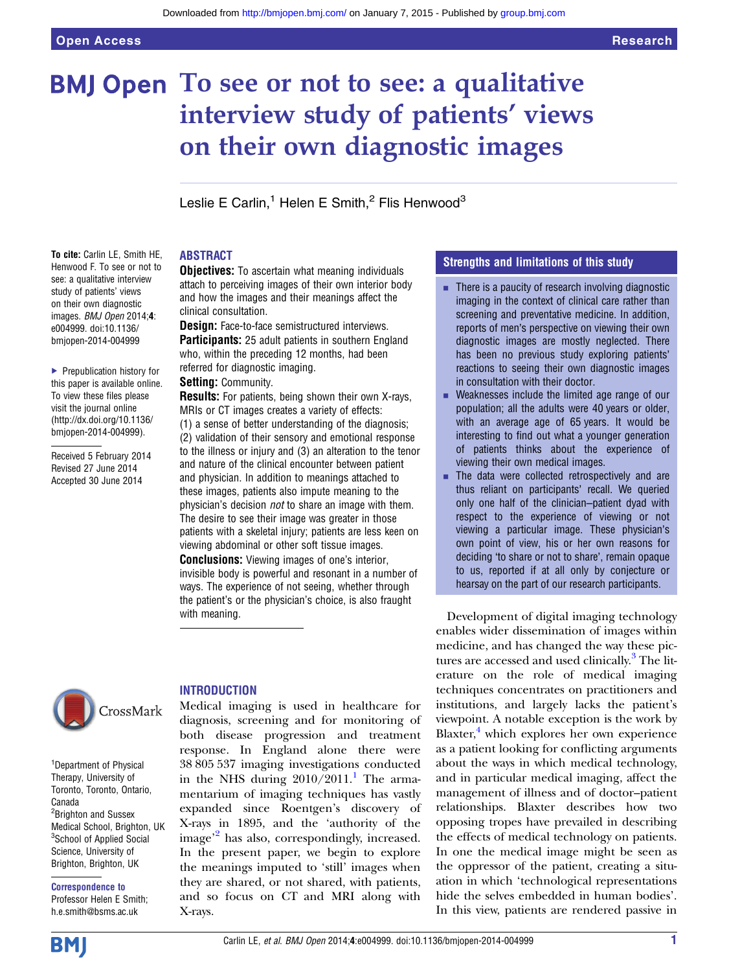# **BMJ Open** To see or not to see: a qualitative interview study of patients' views on their own diagnostic images

Leslie E Carlin,<sup>1</sup> Helen E Smith, $2$  Flis Henwood<sup>3</sup>

## ABSTRACT

To cite: Carlin LE, Smith HE, Henwood F. To see or not to see: a qualitative interview study of patients' views on their own diagnostic images. BMJ Open 2014;4: e004999. doi:10.1136/ bmjopen-2014-004999

▶ Prepublication history for this paper is available online. To view these files please visit the journal online [\(http://dx.doi.org/10.1136/](http://dx.doi.org/10.1136/bmjopen-2014-004999) [bmjopen-2014-004999](http://dx.doi.org/10.1136/bmjopen-2014-004999)).

Received 5 February 2014 Revised 27 June 2014 Accepted 30 June 2014

**Objectives:** To ascertain what meaning individuals attach to perceiving images of their own interior body and how the images and their meanings affect the clinical consultation.

**Design:** Face-to-face semistructured interviews. **Participants:** 25 adult patients in southern England who, within the preceding 12 months, had been referred for diagnostic imaging.

#### Setting: Community.

**Results:** For patients, being shown their own X-rays, MRIs or CT images creates a variety of effects:

(1) a sense of better understanding of the diagnosis; (2) validation of their sensory and emotional response to the illness or injury and (3) an alteration to the tenor and nature of the clinical encounter between patient and physician. In addition to meanings attached to these images, patients also impute meaning to the physician's decision not to share an image with them. The desire to see their image was greater in those patients with a skeletal injury; patients are less keen on viewing abdominal or other soft tissue images.

Conclusions: Viewing images of one's interior, invisible body is powerful and resonant in a number of ways. The experience of not seeing, whether through the patient's or the physician's choice, is also fraught with meaning.



<sup>1</sup>Department of Physical Therapy, University of Toronto, Toronto, Ontario, Canada <sup>2</sup> Brighton and Sussex Medical School, Brighton, UK <sup>3</sup>School of Applied Social Science, University of Brighton, Brighton, UK

Correspondence to Professor Helen E Smith; h.e.smith@bsms.ac.uk

# **INTRODUCTION**

Medical imaging is used in healthcare for diagnosis, screening and for monitoring of both disease progression and treatment response. In England alone there were 38 805 537 imaging investigations conducted in the NHS during  $2010/2011$  $2010/2011$  $2010/2011$ .<sup>1</sup> The armamentarium of imaging techniques has vastly expanded since Roentgen's discovery of X-rays in 1895, and the 'authority of the image' [2](#page-6-0) has also, correspondingly, increased. In the present paper, we begin to explore the meanings imputed to 'still' images when they are shared, or not shared, with patients, and so focus on CT and MRI along with X-rays.

# Strengths and limitations of this study

- $\blacksquare$  There is a paucity of research involving diagnostic imaging in the context of clinical care rather than screening and preventative medicine. In addition, reports of men's perspective on viewing their own diagnostic images are mostly neglected. There has been no previous study exploring patients' reactions to seeing their own diagnostic images in consultation with their doctor.
- Weaknesses include the limited age range of our population; all the adults were 40 years or older, with an average age of 65 years. It would be interesting to find out what a younger generation of patients thinks about the experience of viewing their own medical images.
- $\blacksquare$  The data were collected retrospectively and are thus reliant on participants' recall. We queried only one half of the clinician–patient dyad with respect to the experience of viewing or not viewing a particular image. These physician's own point of view, his or her own reasons for deciding 'to share or not to share', remain opaque to us, reported if at all only by conjecture or hearsay on the part of our research participants.

Development of digital imaging technology enables wider dissemination of images within medicine, and has changed the way these pic-tures are accessed and used clinically.<sup>[3](#page-6-0)</sup> The literature on the role of medical imaging techniques concentrates on practitioners and institutions, and largely lacks the patient's viewpoint. A notable exception is the work by Blaxter, $4$  which explores her own experience as a patient looking for conflicting arguments about the ways in which medical technology, and in particular medical imaging, affect the management of illness and of doctor–patient relationships. Blaxter describes how two opposing tropes have prevailed in describing the effects of medical technology on patients. In one the medical image might be seen as the oppressor of the patient, creating a situation in which 'technological representations hide the selves embedded in human bodies'. In this view, patients are rendered passive in

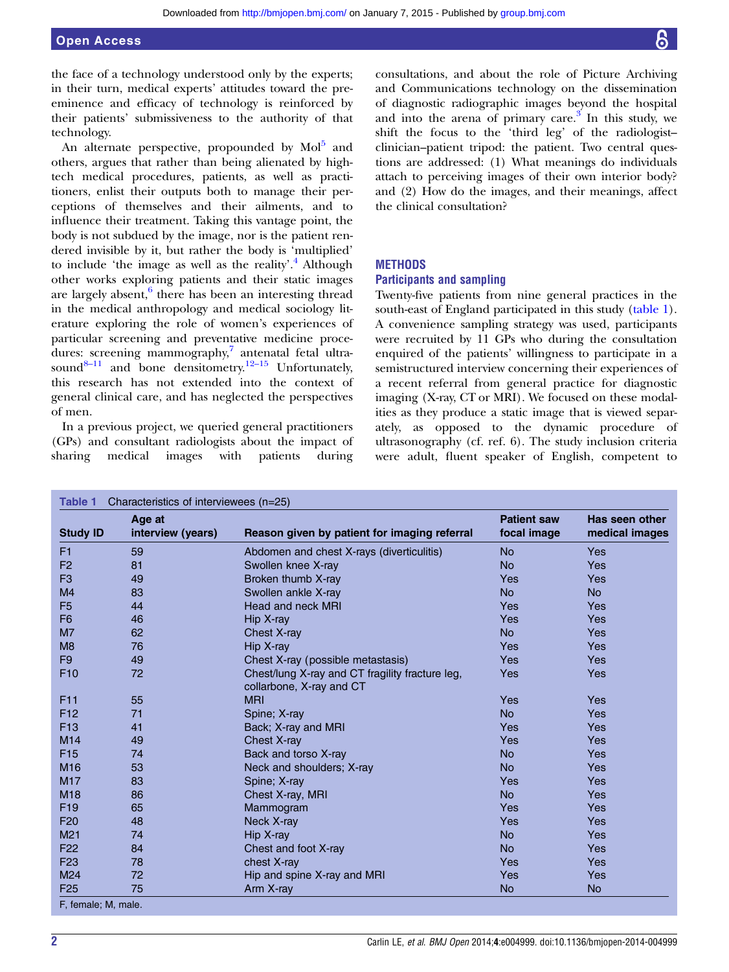<span id="page-1-0"></span>the face of a technology understood only by the experts; in their turn, medical experts' attitudes toward the preeminence and efficacy of technology is reinforced by their patients' submissiveness to the authority of that technology.

An alternate perspective, propounded by Mol<sup>[5](#page-6-0)</sup> and others, argues that rather than being alienated by hightech medical procedures, patients, as well as practitioners, enlist their outputs both to manage their perceptions of themselves and their ailments, and to influence their treatment. Taking this vantage point, the body is not subdued by the image, nor is the patient rendered invisible by it, but rather the body is 'multiplied' to include 'the image as well as the reality'.<sup>[4](#page-6-0)</sup> Although other works exploring patients and their static images are largely absent, $6$  there has been an interesting thread in the medical anthropology and medical sociology literature exploring the role of women's experiences of particular screening and preventative medicine procedures: screening mammography, $\frac{7}{7}$  antenatal fetal ultra-sound<sup>8–[11](#page-6-0)</sup> and bone densitometry.<sup>12–15</sup> Unfortunately, this research has not extended into the context of general clinical care, and has neglected the perspectives of men.

In a previous project, we queried general practitioners (GPs) and consultant radiologists about the impact of sharing medical images with patients during

consultations, and about the role of Picture Archiving and Communications technology on the dissemination of diagnostic radiographic images beyond the hospital and into the arena of primary care. $3$  In this study, we shift the focus to the 'third leg' of the radiologist– clinician–patient tripod: the patient. Two central questions are addressed: (1) What meanings do individuals attach to perceiving images of their own interior body? and (2) How do the images, and their meanings, affect the clinical consultation?

#### **METHODS**

#### Participants and sampling

Twenty-five patients from nine general practices in the south-east of England participated in this study (table 1). A convenience sampling strategy was used, participants were recruited by 11 GPs who during the consultation enquired of the patients' willingness to participate in a semistructured interview concerning their experiences of a recent referral from general practice for diagnostic imaging (X-ray, CT or MRI). We focused on these modalities as they produce a static image that is viewed separately, as opposed to the dynamic procedure of ultrasonography (cf. ref. 6). The study inclusion criteria were adult, fluent speaker of English, competent to

| <b>Study ID</b> | Age at<br>interview (years) | Reason given by patient for imaging referral                                | <b>Patient saw</b><br>focal image | Has seen other<br>medical images |
|-----------------|-----------------------------|-----------------------------------------------------------------------------|-----------------------------------|----------------------------------|
| F1              | 59                          | Abdomen and chest X-rays (diverticulitis)                                   | <b>No</b>                         | Yes                              |
| F <sub>2</sub>  | 81                          | Swollen knee X-ray                                                          | <b>No</b>                         | Yes                              |
| F <sub>3</sub>  | 49                          | Broken thumb X-ray                                                          | Yes                               | Yes                              |
| M <sub>4</sub>  | 83                          | Swollen ankle X-ray                                                         | <b>No</b>                         | <b>No</b>                        |
| F <sub>5</sub>  | 44                          | Head and neck MRI                                                           | Yes                               | Yes                              |
| F <sub>6</sub>  | 46                          | Hip X-ray                                                                   | Yes                               | Yes                              |
| M <sub>7</sub>  | 62                          | Chest X-ray                                                                 | <b>No</b>                         | Yes                              |
| M <sub>8</sub>  | 76                          | Hip X-ray                                                                   | Yes                               | Yes                              |
| F <sub>9</sub>  | 49                          | Chest X-ray (possible metastasis)                                           | Yes                               | Yes                              |
| F <sub>10</sub> | 72                          | Chest/lung X-ray and CT fragility fracture leg,<br>collarbone, X-ray and CT | Yes                               | Yes                              |
| F <sub>11</sub> | 55                          | <b>MRI</b>                                                                  | Yes                               | Yes                              |
| F <sub>12</sub> | 71                          | Spine; X-ray                                                                | <b>No</b>                         | Yes                              |
| F <sub>13</sub> | 41                          | Back; X-ray and MRI                                                         | Yes                               | Yes                              |
| M14             | 49                          | Chest X-ray                                                                 | Yes                               | Yes                              |
| F <sub>15</sub> | 74                          | Back and torso X-ray                                                        | <b>No</b>                         | Yes                              |
| M <sub>16</sub> | 53                          | Neck and shoulders; X-ray                                                   | <b>No</b>                         | Yes                              |
| M17             | 83                          | Spine; X-ray                                                                | Yes                               | Yes                              |
| M <sub>18</sub> | 86                          | Chest X-ray, MRI                                                            | <b>No</b>                         | Yes                              |
| F <sub>19</sub> | 65                          | Mammogram                                                                   | Yes                               | Yes                              |
| F <sub>20</sub> | 48                          | Neck X-ray                                                                  | Yes                               | Yes                              |
| M <sub>21</sub> | 74                          | Hip X-ray                                                                   | <b>No</b>                         | Yes                              |
| F <sub>22</sub> | 84                          | Chest and foot X-ray                                                        | <b>No</b>                         | Yes                              |
| F <sub>23</sub> | 78                          | chest X-ray                                                                 | Yes                               | Yes                              |
| M24             | 72                          | Hip and spine X-ray and MRI                                                 | Yes                               | Yes                              |
| F <sub>25</sub> | 75                          | Arm X-ray                                                                   | <b>No</b>                         | <b>No</b>                        |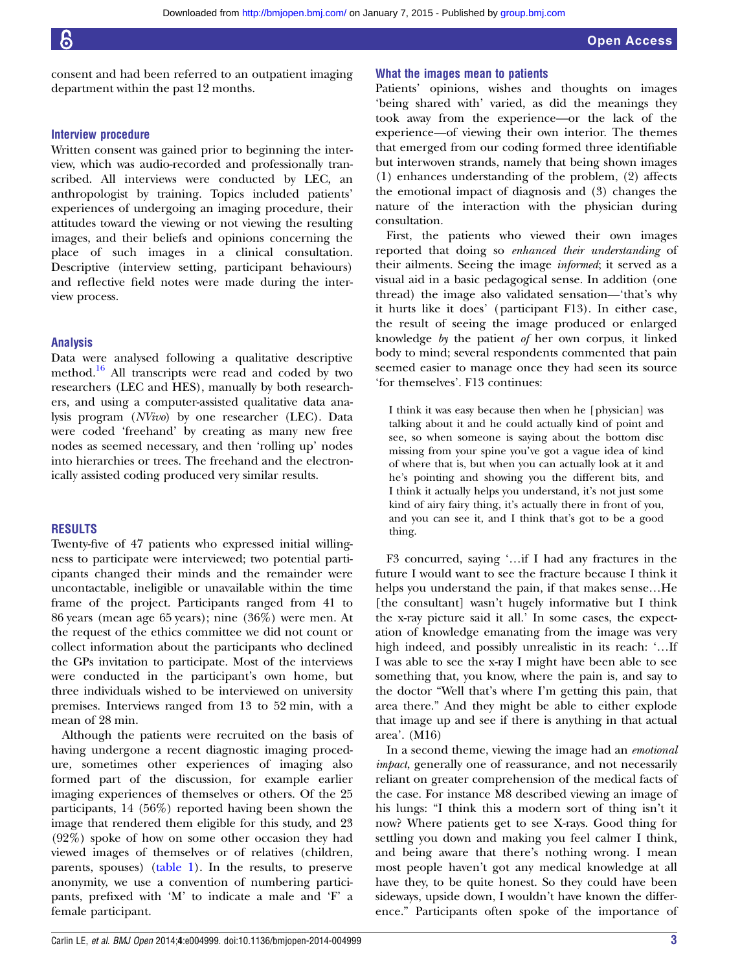consent and had been referred to an outpatient imaging department within the past 12 months.

#### Interview procedure

Written consent was gained prior to beginning the interview, which was audio-recorded and professionally transcribed. All interviews were conducted by LEC, an anthropologist by training. Topics included patients' experiences of undergoing an imaging procedure, their attitudes toward the viewing or not viewing the resulting images, and their beliefs and opinions concerning the place of such images in a clinical consultation. Descriptive (interview setting, participant behaviours) and reflective field notes were made during the interview process.

#### Analysis

Data were analysed following a qualitative descriptive method.[16](#page-6-0) All transcripts were read and coded by two researchers (LEC and HES), manually by both researchers, and using a computer-assisted qualitative data analysis program (NVivo) by one researcher (LEC). Data were coded 'freehand' by creating as many new free nodes as seemed necessary, and then 'rolling up' nodes into hierarchies or trees. The freehand and the electronically assisted coding produced very similar results.

### RESULTS

Twenty-five of 47 patients who expressed initial willingness to participate were interviewed; two potential participants changed their minds and the remainder were uncontactable, ineligible or unavailable within the time frame of the project. Participants ranged from 41 to 86 years (mean age 65 years); nine (36%) were men. At the request of the ethics committee we did not count or collect information about the participants who declined the GPs invitation to participate. Most of the interviews were conducted in the participant's own home, but three individuals wished to be interviewed on university premises. Interviews ranged from 13 to 52 min, with a mean of 28 min.

Although the patients were recruited on the basis of having undergone a recent diagnostic imaging procedure, sometimes other experiences of imaging also formed part of the discussion, for example earlier imaging experiences of themselves or others. Of the 25 participants, 14 (56%) reported having been shown the image that rendered them eligible for this study, and 23 (92%) spoke of how on some other occasion they had viewed images of themselves or of relatives (children, parents, spouses) [\(table 1\)](#page-1-0). In the results, to preserve anonymity, we use a convention of numbering participants, prefixed with 'M' to indicate a male and 'F' a female participant.

#### What the images mean to patients

Patients' opinions, wishes and thoughts on images 'being shared with' varied, as did the meanings they took away from the experience—or the lack of the experience—of viewing their own interior. The themes that emerged from our coding formed three identifiable but interwoven strands, namely that being shown images (1) enhances understanding of the problem, (2) affects the emotional impact of diagnosis and (3) changes the nature of the interaction with the physician during consultation.

First, the patients who viewed their own images reported that doing so enhanced their understanding of their ailments. Seeing the image informed; it served as a visual aid in a basic pedagogical sense. In addition (one thread) the image also validated sensation—'that's why it hurts like it does' (participant F13). In either case, the result of seeing the image produced or enlarged knowledge by the patient of her own corpus, it linked body to mind; several respondents commented that pain seemed easier to manage once they had seen its source 'for themselves'. F13 continues:

I think it was easy because then when he [physician] was talking about it and he could actually kind of point and see, so when someone is saying about the bottom disc missing from your spine you've got a vague idea of kind of where that is, but when you can actually look at it and he's pointing and showing you the different bits, and I think it actually helps you understand, it's not just some kind of airy fairy thing, it's actually there in front of you, and you can see it, and I think that's got to be a good thing.

F3 concurred, saying '…if I had any fractures in the future I would want to see the fracture because I think it helps you understand the pain, if that makes sense…He [the consultant] wasn't hugely informative but I think the x-ray picture said it all.' In some cases, the expectation of knowledge emanating from the image was very high indeed, and possibly unrealistic in its reach: '…If I was able to see the x-ray I might have been able to see something that, you know, where the pain is, and say to the doctor "Well that's where I'm getting this pain, that area there." And they might be able to either explode that image up and see if there is anything in that actual area'. (M16)

In a second theme, viewing the image had an emotional impact, generally one of reassurance, and not necessarily reliant on greater comprehension of the medical facts of the case. For instance M8 described viewing an image of his lungs: "I think this a modern sort of thing isn't it now? Where patients get to see X-rays. Good thing for settling you down and making you feel calmer I think, and being aware that there's nothing wrong. I mean most people haven't got any medical knowledge at all have they, to be quite honest. So they could have been sideways, upside down, I wouldn't have known the difference." Participants often spoke of the importance of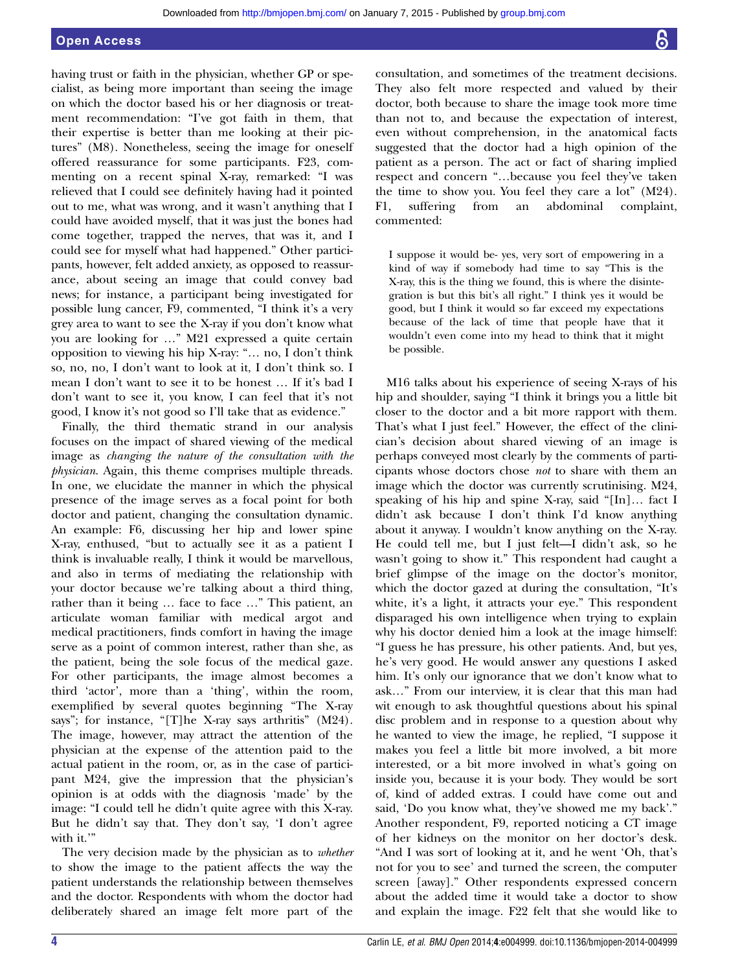having trust or faith in the physician, whether GP or specialist, as being more important than seeing the image on which the doctor based his or her diagnosis or treatment recommendation: "I've got faith in them, that their expertise is better than me looking at their pictures" (M8). Nonetheless, seeing the image for oneself offered reassurance for some participants. F23, commenting on a recent spinal X-ray, remarked: "I was relieved that I could see definitely having had it pointed out to me, what was wrong, and it wasn't anything that I could have avoided myself, that it was just the bones had come together, trapped the nerves, that was it, and I could see for myself what had happened." Other participants, however, felt added anxiety, as opposed to reassurance, about seeing an image that could convey bad news; for instance, a participant being investigated for possible lung cancer, F9, commented, "I think it's a very grey area to want to see the X-ray if you don't know what you are looking for …" M21 expressed a quite certain opposition to viewing his hip X-ray: "… no, I don't think so, no, no, I don't want to look at it, I don't think so. I mean I don't want to see it to be honest … If it's bad I don't want to see it, you know, I can feel that it's not good, I know it's not good so I'll take that as evidence."

Finally, the third thematic strand in our analysis focuses on the impact of shared viewing of the medical image as changing the nature of the consultation with the physician. Again, this theme comprises multiple threads. In one, we elucidate the manner in which the physical presence of the image serves as a focal point for both doctor and patient, changing the consultation dynamic. An example: F6, discussing her hip and lower spine X-ray, enthused, "but to actually see it as a patient I think is invaluable really, I think it would be marvellous, and also in terms of mediating the relationship with your doctor because we're talking about a third thing, rather than it being … face to face …" This patient, an articulate woman familiar with medical argot and medical practitioners, finds comfort in having the image serve as a point of common interest, rather than she, as the patient, being the sole focus of the medical gaze. For other participants, the image almost becomes a third 'actor', more than a 'thing', within the room, exemplified by several quotes beginning "The X-ray says"; for instance, "[T]he X-ray says arthritis" (M24). The image, however, may attract the attention of the physician at the expense of the attention paid to the actual patient in the room, or, as in the case of participant M24, give the impression that the physician's opinion is at odds with the diagnosis 'made' by the image: "I could tell he didn't quite agree with this X-ray. But he didn't say that. They don't say, 'I don't agree with it."

The very decision made by the physician as to whether to show the image to the patient affects the way the patient understands the relationship between themselves and the doctor. Respondents with whom the doctor had deliberately shared an image felt more part of the

consultation, and sometimes of the treatment decisions. They also felt more respected and valued by their doctor, both because to share the image took more time than not to, and because the expectation of interest, even without comprehension, in the anatomical facts suggested that the doctor had a high opinion of the patient as a person. The act or fact of sharing implied respect and concern "…because you feel they've taken the time to show you. You feel they care a lot" (M24). F1, suffering from an abdominal complaint, commented:

I suppose it would be- yes, very sort of empowering in a kind of way if somebody had time to say "This is the X-ray, this is the thing we found, this is where the disintegration is but this bit's all right." I think yes it would be good, but I think it would so far exceed my expectations because of the lack of time that people have that it wouldn't even come into my head to think that it might be possible.

M16 talks about his experience of seeing X-rays of his hip and shoulder, saying "I think it brings you a little bit closer to the doctor and a bit more rapport with them. That's what I just feel." However, the effect of the clinician's decision about shared viewing of an image is perhaps conveyed most clearly by the comments of participants whose doctors chose not to share with them an image which the doctor was currently scrutinising. M24, speaking of his hip and spine X-ray, said "[In]… fact I didn't ask because I don't think I'd know anything about it anyway. I wouldn't know anything on the X-ray. He could tell me, but I just felt—I didn't ask, so he wasn't going to show it." This respondent had caught a brief glimpse of the image on the doctor's monitor, which the doctor gazed at during the consultation, "It's white, it's a light, it attracts your eye." This respondent disparaged his own intelligence when trying to explain why his doctor denied him a look at the image himself: "I guess he has pressure, his other patients. And, but yes, he's very good. He would answer any questions I asked him. It's only our ignorance that we don't know what to ask…" From our interview, it is clear that this man had wit enough to ask thoughtful questions about his spinal disc problem and in response to a question about why he wanted to view the image, he replied, "I suppose it makes you feel a little bit more involved, a bit more interested, or a bit more involved in what's going on inside you, because it is your body. They would be sort of, kind of added extras. I could have come out and said, 'Do you know what, they've showed me my back'." Another respondent, F9, reported noticing a CT image of her kidneys on the monitor on her doctor's desk. "And I was sort of looking at it, and he went 'Oh, that's not for you to see' and turned the screen, the computer screen [away]." Other respondents expressed concern about the added time it would take a doctor to show and explain the image. F22 felt that she would like to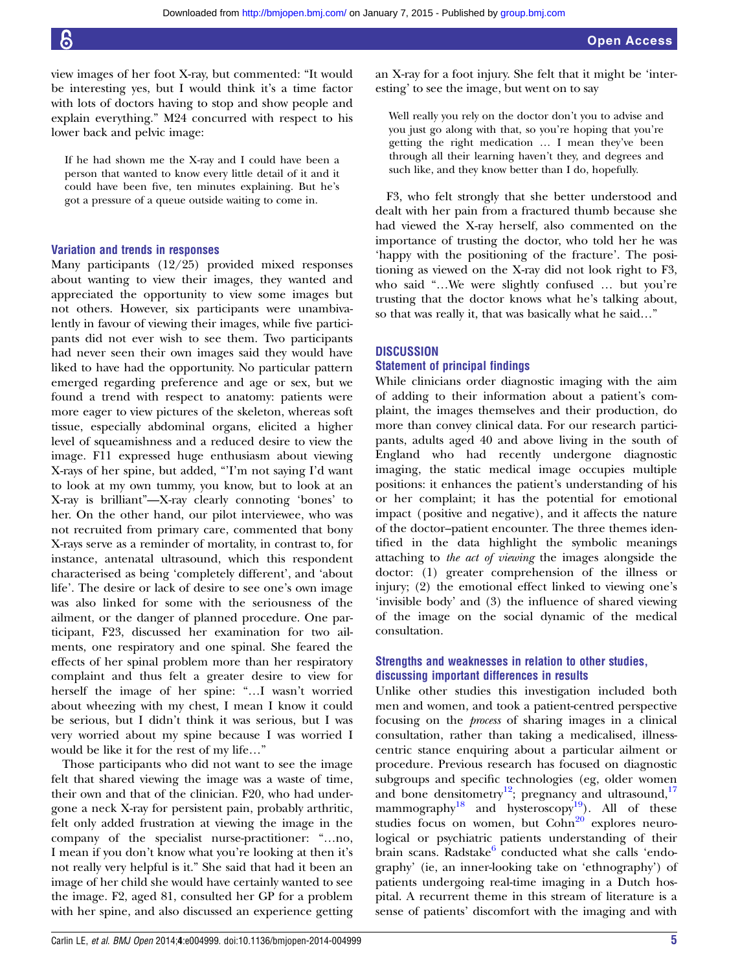view images of her foot X-ray, but commented: "It would be interesting yes, but I would think it's a time factor with lots of doctors having to stop and show people and explain everything." M24 concurred with respect to his lower back and pelvic image:

If he had shown me the X-ray and I could have been a person that wanted to know every little detail of it and it could have been five, ten minutes explaining. But he's got a pressure of a queue outside waiting to come in.

# Variation and trends in responses

Many participants (12/25) provided mixed responses about wanting to view their images, they wanted and appreciated the opportunity to view some images but not others. However, six participants were unambivalently in favour of viewing their images, while five participants did not ever wish to see them. Two participants had never seen their own images said they would have liked to have had the opportunity. No particular pattern emerged regarding preference and age or sex, but we found a trend with respect to anatomy: patients were more eager to view pictures of the skeleton, whereas soft tissue, especially abdominal organs, elicited a higher level of squeamishness and a reduced desire to view the image. F11 expressed huge enthusiasm about viewing X-rays of her spine, but added, "'I'm not saying I'd want to look at my own tummy, you know, but to look at an X-ray is brilliant"—X-ray clearly connoting 'bones' to her. On the other hand, our pilot interviewee, who was not recruited from primary care, commented that bony X-rays serve as a reminder of mortality, in contrast to, for instance, antenatal ultrasound, which this respondent characterised as being 'completely different', and 'about life'. The desire or lack of desire to see one's own image was also linked for some with the seriousness of the ailment, or the danger of planned procedure. One participant, F23, discussed her examination for two ailments, one respiratory and one spinal. She feared the effects of her spinal problem more than her respiratory complaint and thus felt a greater desire to view for herself the image of her spine: "…I wasn't worried about wheezing with my chest, I mean I know it could be serious, but I didn't think it was serious, but I was very worried about my spine because I was worried I would be like it for the rest of my life…"

Those participants who did not want to see the image felt that shared viewing the image was a waste of time, their own and that of the clinician. F20, who had undergone a neck X-ray for persistent pain, probably arthritic, felt only added frustration at viewing the image in the company of the specialist nurse-practitioner: "…no, I mean if you don't know what you're looking at then it's not really very helpful is it." She said that had it been an image of her child she would have certainly wanted to see the image. F2, aged 81, consulted her GP for a problem with her spine, and also discussed an experience getting

Carlin LE, et al. BMJ Open 2014;4:e004999. doi:10.1136/bmjopen-2014-004999

an X-ray for a foot injury. She felt that it might be 'interesting' to see the image, but went on to say

Well really you rely on the doctor don't you to advise and you just go along with that, so you're hoping that you're getting the right medication … I mean they've been through all their learning haven't they, and degrees and such like, and they know better than I do, hopefully.

F3, who felt strongly that she better understood and dealt with her pain from a fractured thumb because she had viewed the X-ray herself, also commented on the importance of trusting the doctor, who told her he was 'happy with the positioning of the fracture'. The positioning as viewed on the X-ray did not look right to F3, who said "…We were slightly confused … but you're trusting that the doctor knows what he's talking about, so that was really it, that was basically what he said…"

#### **DISCUSSION**

#### Statement of principal findings

While clinicians order diagnostic imaging with the aim of adding to their information about a patient's complaint, the images themselves and their production, do more than convey clinical data. For our research participants, adults aged 40 and above living in the south of England who had recently undergone diagnostic imaging, the static medical image occupies multiple positions: it enhances the patient's understanding of his or her complaint; it has the potential for emotional impact (positive and negative), and it affects the nature of the doctor–patient encounter. The three themes identified in the data highlight the symbolic meanings attaching to the act of viewing the images alongside the doctor: (1) greater comprehension of the illness or injury; (2) the emotional effect linked to viewing one's 'invisible body' and (3) the influence of shared viewing of the image on the social dynamic of the medical consultation.

# Strengths and weaknesses in relation to other studies, discussing important differences in results

Unlike other studies this investigation included both men and women, and took a patient-centred perspective focusing on the process of sharing images in a clinical consultation, rather than taking a medicalised, illnesscentric stance enquiring about a particular ailment or procedure. Previous research has focused on diagnostic subgroups and specific technologies (eg, older women and bone densitometry<sup>12</sup>; pregnancy and ultrasound,<sup>[17](#page-6-0)</sup> mammography<sup>[18](#page-6-0)</sup> and hysteroscopy<sup>[19](#page-6-0)</sup>). All of these studies focus on women, but Cohn<sup>[20](#page-6-0)</sup> explores neurological or psychiatric patients understanding of their brain scans. Radstake<sup>[6](#page-6-0)</sup> conducted what she calls 'endography' (ie, an inner-looking take on 'ethnography') of patients undergoing real-time imaging in a Dutch hospital. A recurrent theme in this stream of literature is a sense of patients' discomfort with the imaging and with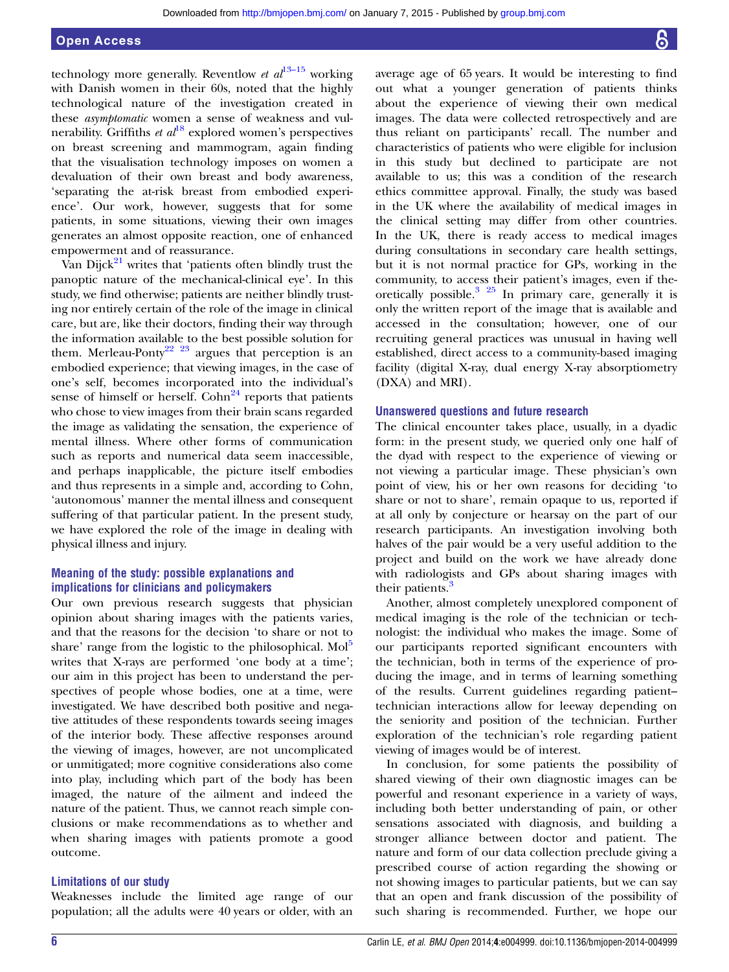# Open Access

technology more generally. Reventlow et  $al^{13-15}$  $al^{13-15}$  $al^{13-15}$  working with Danish women in their 60s, noted that the highly technological nature of the investigation created in these asymptomatic women a sense of weakness and vulnerability. Griffiths *et al*<sup>[18](#page-6-0)</sup> explored women's perspectives on breast screening and mammogram, again finding that the visualisation technology imposes on women a devaluation of their own breast and body awareness, 'separating the at-risk breast from embodied experience'. Our work, however, suggests that for some patients, in some situations, viewing their own images generates an almost opposite reaction, one of enhanced empowerment and of reassurance.

Van Dijck $^{21}$  $^{21}$  $^{21}$  writes that 'patients often blindly trust the panoptic nature of the mechanical-clinical eye'. In this study, we find otherwise; patients are neither blindly trusting nor entirely certain of the role of the image in clinical care, but are, like their doctors, finding their way through the information available to the best possible solution for them. Merleau-Ponty<sup>[22 23](#page-6-0)</sup> argues that perception is an embodied experience; that viewing images, in the case of one's self, becomes incorporated into the individual's sense of himself or herself.  $\text{Cohn}^{24}$  $\text{Cohn}^{24}$  $\text{Cohn}^{24}$  reports that patients who chose to view images from their brain scans regarded the image as validating the sensation, the experience of mental illness. Where other forms of communication such as reports and numerical data seem inaccessible, and perhaps inapplicable, the picture itself embodies and thus represents in a simple and, according to Cohn, 'autonomous' manner the mental illness and consequent suffering of that particular patient. In the present study, we have explored the role of the image in dealing with physical illness and injury.

# Meaning of the study: possible explanations and implications for clinicians and policymakers

Our own previous research suggests that physician opinion about sharing images with the patients varies, and that the reasons for the decision 'to share or not to share' range from the logistic to the philosophical.  $\text{Mol}^5$  $\text{Mol}^5$ writes that X-rays are performed 'one body at a time'; our aim in this project has been to understand the perspectives of people whose bodies, one at a time, were investigated. We have described both positive and negative attitudes of these respondents towards seeing images of the interior body. These affective responses around the viewing of images, however, are not uncomplicated or unmitigated; more cognitive considerations also come into play, including which part of the body has been imaged, the nature of the ailment and indeed the nature of the patient. Thus, we cannot reach simple conclusions or make recommendations as to whether and when sharing images with patients promote a good outcome.

#### Limitations of our study

Weaknesses include the limited age range of our population; all the adults were 40 years or older, with an average age of 65 years. It would be interesting to find out what a younger generation of patients thinks about the experience of viewing their own medical images. The data were collected retrospectively and are thus reliant on participants' recall. The number and characteristics of patients who were eligible for inclusion in this study but declined to participate are not available to us; this was a condition of the research ethics committee approval. Finally, the study was based in the UK where the availability of medical images in the clinical setting may differ from other countries. In the UK, there is ready access to medical images during consultations in secondary care health settings, but it is not normal practice for GPs, working in the community, to access their patient's images, even if the-oretically possible.<sup>[3 25](#page-6-0)</sup> In primary care, generally it is only the written report of the image that is available and accessed in the consultation; however, one of our recruiting general practices was unusual in having well established, direct access to a community-based imaging facility (digital X-ray, dual energy X-ray absorptiometry (DXA) and MRI).

#### Unanswered questions and future research

The clinical encounter takes place, usually, in a dyadic form: in the present study, we queried only one half of the dyad with respect to the experience of viewing or not viewing a particular image. These physician's own point of view, his or her own reasons for deciding 'to share or not to share', remain opaque to us, reported if at all only by conjecture or hearsay on the part of our research participants. An investigation involving both halves of the pair would be a very useful addition to the project and build on the work we have already done with radiologists and GPs about sharing images with their patients.<sup>[3](#page-6-0)</sup>

Another, almost completely unexplored component of medical imaging is the role of the technician or technologist: the individual who makes the image. Some of our participants reported significant encounters with the technician, both in terms of the experience of producing the image, and in terms of learning something of the results. Current guidelines regarding patient– technician interactions allow for leeway depending on the seniority and position of the technician. Further exploration of the technician's role regarding patient viewing of images would be of interest.

In conclusion, for some patients the possibility of shared viewing of their own diagnostic images can be powerful and resonant experience in a variety of ways, including both better understanding of pain, or other sensations associated with diagnosis, and building a stronger alliance between doctor and patient. The nature and form of our data collection preclude giving a prescribed course of action regarding the showing or not showing images to particular patients, but we can say that an open and frank discussion of the possibility of such sharing is recommended. Further, we hope our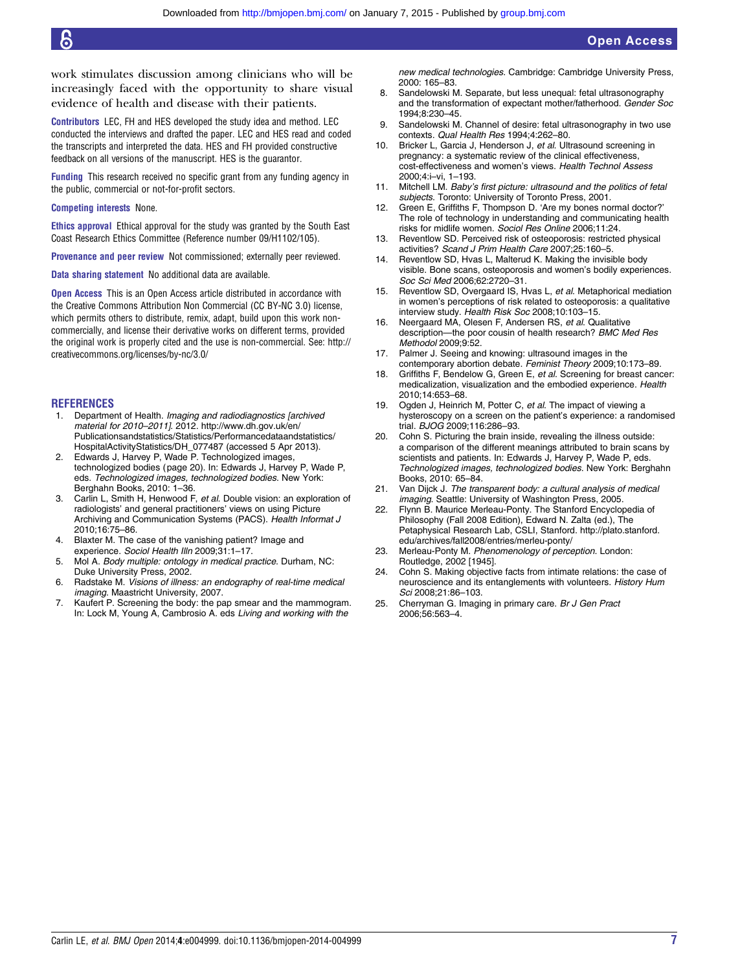<span id="page-6-0"></span>work stimulates discussion among clinicians who will be increasingly faced with the opportunity to share visual evidence of health and disease with their patients.

Contributors LEC, FH and HES developed the study idea and method. LEC conducted the interviews and drafted the paper. LEC and HES read and coded the transcripts and interpreted the data. HES and FH provided constructive feedback on all versions of the manuscript. HES is the guarantor.

Funding This research received no specific grant from any funding agency in the public, commercial or not-for-profit sectors.

#### Competing interests None.

Ethics approval Ethical approval for the study was granted by the South East Coast Research Ethics Committee (Reference number 09/H1102/105).

Provenance and peer review Not commissioned; externally peer reviewed.

Data sharing statement No additional data are available.

**Open Access** This is an Open Access article distributed in accordance with the Creative Commons Attribution Non Commercial (CC BY-NC 3.0) license, which permits others to distribute, remix, adapt, build upon this work noncommercially, and license their derivative works on different terms, provided the original work is properly cited and the use is non-commercial. See: [http://](http://creativecommons.org/licenses/by-nc/3.0/) [creativecommons.org/licenses/by-nc/3.0/](http://creativecommons.org/licenses/by-nc/3.0/)

#### **REFERENCES**

- 1. Department of Health. Imaging and radiodiagnostics [archived material for 2010–2011]. 2012. [http://www.dh.gov.uk/en/](http://www.dh.gov.uk/en/Publicationsandstatistics/Statistics/Performancedataandstatistics/HospitalActivityStatistics/DH_077487) [Publicationsandstatistics/Statistics/Performancedataandstatistics/](http://www.dh.gov.uk/en/Publicationsandstatistics/Statistics/Performancedataandstatistics/HospitalActivityStatistics/DH_077487) [HospitalActivityStatistics/DH\\_077487](http://www.dh.gov.uk/en/Publicationsandstatistics/Statistics/Performancedataandstatistics/HospitalActivityStatistics/DH_077487) (accessed 5 Apr 2013).
- 2. Edwards J, Harvey P, Wade P. Technologized images, technologized bodies (page 20). In: Edwards J, Harvey P, Wade P, eds. Technologized images, technologized bodies. New York: Berghahn Books, 2010: 1–36.
- Carlin L, Smith H, Henwood F, et al. Double vision: an exploration of radiologists' and general practitioners' views on using Picture Archiving and Communication Systems (PACS). Health Informat J 2010;16:75–86.
- 4. Blaxter M. The case of the vanishing patient? Image and experience. Sociol Health Illn 2009;31:1–17.
- 5. Mol A. Body multiple: ontology in medical practice. Durham, NC: Duke University Press, 2002.
- 6. Radstake M. Visions of illness: an endography of real-time medical imaging. Maastricht University, 2007.
- 7. Kaufert P. Screening the body: the pap smear and the mammogram. In: Lock M, Young A, Cambrosio A. eds Living and working with the

new medical technologies. Cambridge: Cambridge University Press, 2000: 165–83.

- 8. Sandelowski M. Separate, but less unequal: fetal ultrasonography and the transformation of expectant mother/fatherhood. Gender Soc 1994;8:230–45.
- 9. Sandelowski M. Channel of desire: fetal ultrasonography in two use contexts. Qual Health Res 1994;4:262–80.
- 10. Bricker L, Garcia J, Henderson J, et al. Ultrasound screening in pregnancy: a systematic review of the clinical effectiveness, cost-effectiveness and women's views. Health Technol Assess 2000;4:i–vi, 1–193.
- 11. Mitchell LM. Baby's first picture: ultrasound and the politics of fetal subjects. Toronto: University of Toronto Press, 2001.
- 12. Green E, Griffiths F, Thompson D. 'Are my bones normal doctor?' The role of technology in understanding and communicating health risks for midlife women. Sociol Res Online 2006;11:24.
- 13. Reventlow SD. Perceived risk of osteoporosis: restricted physical activities? Scand J Prim Health Care 2007;25:160–5.
- 14. Reventlow SD, Hvas L, Malterud K. Making the invisible body visible. Bone scans, osteoporosis and women's bodily experiences. Soc Sci Med 2006;62:2720–31.
- 15. Reventlow SD, Overgaard IS, Hvas L, et al. Metaphorical mediation in women's perceptions of risk related to osteoporosis: a qualitative interview study. Health Risk Soc 2008;10:103-15.
- 16. Neergaard MA, Olesen F, Andersen RS, et al. Qualitative description—the poor cousin of health research? BMC Med Res Methodol 2009;9:52.
- 17. Palmer J. Seeing and knowing: ultrasound images in the contemporary abortion debate. Feminist Theory 2009;10:173–89.
- 18. Griffiths F, Bendelow G, Green E, et al. Screening for breast cancer: medicalization, visualization and the embodied experience. Health 2010;14:653–68.
- 19. Ogden J, Heinrich M, Potter C, et al. The impact of viewing a hysteroscopy on a screen on the patient's experience: a randomised trial. BJOG 2009;116:286–93.
- 20. Cohn S. Picturing the brain inside, revealing the illness outside: a comparison of the different meanings attributed to brain scans by scientists and patients. In: Edwards J, Harvey P, Wade P, eds. Technologized images, technologized bodies. New York: Berghahn Books, 2010: 65–84.
- 21. Van Dijck J. The transparent body: a cultural analysis of medical imaging. Seattle: University of Washington Press, 2005.
- 22. Flynn B. Maurice Merleau-Ponty. The Stanford Encyclopedia of Philosophy (Fall 2008 Edition), Edward N. Zalta (ed.), The Petaphysical Research Lab, CSLI, Stanford. http://plato.stanford. edu/archives/fall2008/entries/merleu-ponty/
- 23. Merleau-Ponty M. Phenomenology of perception. London: Routledge, 2002 [1945].
- 24. Cohn S. Making objective facts from intimate relations: the case of neuroscience and its entanglements with volunteers. History Hum Sci 2008;21:86–103.
- 25. Cherryman G. Imaging in primary care. Br J Gen Pract 2006;56:563–4.